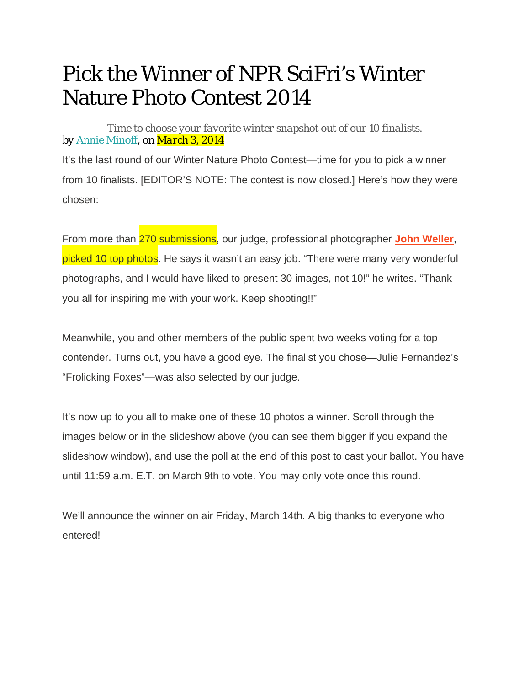## Pick the Winner of NPR SciFri's Winter Nature Photo Contest 2014

*Time to choose your favorite winter snapshot out of our 10 finalists. by Annie Minoff, on March 3, 2014* 

It's the last round of our Winter Nature Photo Contest—time for you to pick a winner from 10 finalists. [EDITOR'S NOTE: The contest is now closed.] Here's how they were chosen:

From more than 270 submissions, our judge, professional photographer **John Weller**, picked 10 top photos. He says it wasn't an easy job. "There were many very wonderful photographs, and I would have liked to present 30 images, not 10!" he writes. "Thank you all for inspiring me with your work. Keep shooting!!"

Meanwhile, you and other members of the public spent two weeks voting for a top contender. Turns out, you have a good eye. The finalist you chose—Julie Fernandez's "Frolicking Foxes"—was also selected by our judge.

It's now up to you all to make one of these 10 photos a winner. Scroll through the images below or in the slideshow above (you can see them bigger if you expand the slideshow window), and use the poll at the end of this post to cast your ballot. You have until 11:59 a.m. E.T. on March 9th to vote. You may only vote once this round.

We'll announce the winner on air Friday, March 14th. A big thanks to everyone who entered!